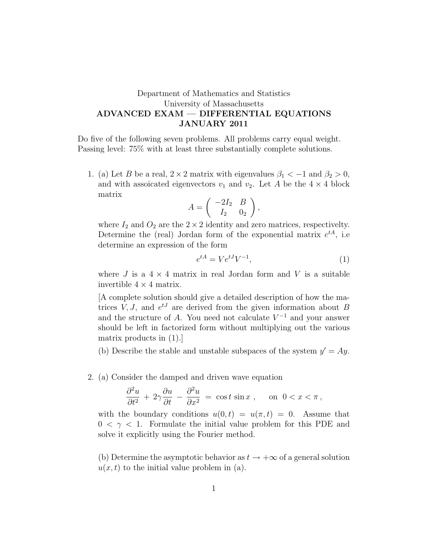## Department of Mathematics and Statistics University of Massachusetts ADVANCED EXAM — DIFFERENTIAL EQUATIONS JANUARY 2011

Do five of the following seven problems. All problems carry equal weight. Passing level: 75% with at least three substantially complete solutions.

1. (a) Let B be a real,  $2 \times 2$  matrix with eigenvalues  $\beta_1 < -1$  and  $\beta_2 > 0$ , and with assoicated eigenvectors  $v_1$  and  $v_2$ . Let A be the  $4 \times 4$  block matrix

$$
A = \begin{pmatrix} -2I_2 & B \\ I_2 & 0_2 \end{pmatrix},
$$

where  $I_2$  and  $O_2$  are the  $2 \times 2$  identity and zero matrices, respectivelty. Determine the (real) Jordan form of the exponential matrix  $e^{tA}$ , i.e determine an expression of the form

$$
e^{tA} = V e^{tJ} V^{-1},\tag{1}
$$

where J is a  $4 \times 4$  matrix in real Jordan form and V is a suitable invertible  $4 \times 4$  matrix.

[A complete solution should give a detailed description of how the matrices  $V, J$ , and  $e^{tJ}$  are derived from the given information about B and the structure of A. You need not calculate  $V^{-1}$  and your answer should be left in factorized form without multiplying out the various matrix products in (1).]

(b) Describe the stable and unstable subspaces of the system  $y' = Ay$ .

2. (a) Consider the damped and driven wave equation

$$
\frac{\partial^2 u}{\partial t^2} + 2\gamma \frac{\partial u}{\partial t} - \frac{\partial^2 u}{\partial x^2} = \cos t \sin x , \quad \text{on } 0 < x < \pi ,
$$

with the boundary conditions  $u(0, t) = u(\pi, t) = 0$ . Assume that  $0 < \gamma < 1$ . Formulate the initial value problem for this PDE and solve it explicitly using the Fourier method.

(b) Determine the asymptotic behavior as  $t \to +\infty$  of a general solution  $u(x, t)$  to the initial value problem in (a).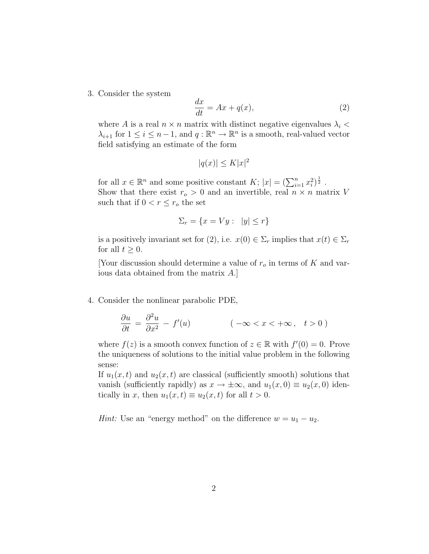3. Consider the system

$$
\frac{dx}{dt} = Ax + q(x),\tag{2}
$$

where A is a real  $n \times n$  matrix with distinct negative eigenvalues  $\lambda_i$  <  $\lambda_{i+1}$  for  $1 \leq i \leq n-1$ , and  $q : \mathbb{R}^n \to \mathbb{R}^n$  is a smooth, real-valued vector field satisfying an estimate of the form

$$
|q(x)| \le K |x|^2
$$

for all  $x \in \mathbb{R}^n$  and some positive constant  $K$ ;  $|x| = (\sum_{i=1}^n x_i^2)^{\frac{1}{2}}$ . Show that there exist  $r_o > 0$  and an invertible, real  $n \times n$  matrix V such that if  $0 < r \leq r_o$  the set

$$
\Sigma_r = \{ x = Vy : |y| \le r \}
$$

is a positively invariant set for  $(2)$ , i.e.  $x(0) \in \Sigma_r$  implies that  $x(t) \in \Sigma_r$ for all  $t \geq 0$ .

[Your discussion should determine a value of  $r_o$  in terms of K and various data obtained from the matrix A.]

4. Consider the nonlinear parabolic PDE,

$$
\frac{\partial u}{\partial t} = \frac{\partial^2 u}{\partial x^2} - f'(u) \qquad (-\infty < x < +\infty, \quad t > 0)
$$

where  $f(z)$  is a smooth convex function of  $z \in \mathbb{R}$  with  $f'(0) = 0$ . Prove the uniqueness of solutions to the initial value problem in the following sense:

If  $u_1(x, t)$  and  $u_2(x, t)$  are classical (sufficiently smooth) solutions that vanish (sufficiently rapidly) as  $x \to \pm \infty$ , and  $u_1(x, 0) \equiv u_2(x, 0)$  identically in x, then  $u_1(x,t) \equiv u_2(x,t)$  for all  $t > 0$ .

*Hint*: Use an "energy method" on the difference  $w = u_1 - u_2$ .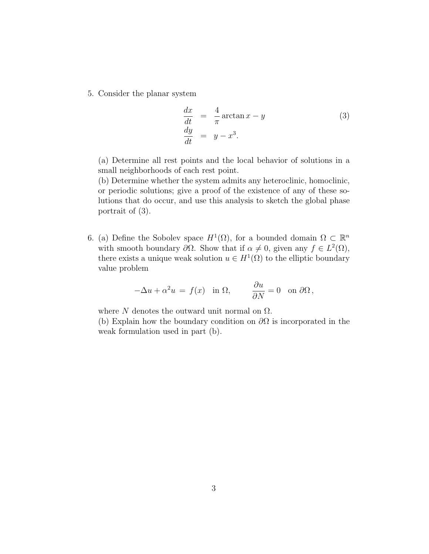5. Consider the planar system

$$
\begin{array}{rcl}\n\frac{dx}{dt} & = & \frac{4}{\pi} \arctan x - y \\
\frac{dy}{dt} & = & y - x^3.\n\end{array} \tag{3}
$$

(a) Determine all rest points and the local behavior of solutions in a small neighborhoods of each rest point.

(b) Determine whether the system admits any heteroclinic, homoclinic, or periodic solutions; give a proof of the existence of any of these solutions that do occur, and use this analysis to sketch the global phase portrait of (3).

6. (a) Define the Sobolev space  $H^1(\Omega)$ , for a bounded domain  $\Omega \subset \mathbb{R}^n$ with smooth boundary  $\partial\Omega$ . Show that if  $\alpha \neq 0$ , given any  $f \in L^2(\Omega)$ , there exists a unique weak solution  $u \in H^1(\Omega)$  to the elliptic boundary value problem

$$
-\Delta u + \alpha^2 u = f(x) \quad \text{in } \Omega, \qquad \frac{\partial u}{\partial N} = 0 \quad \text{on } \partial \Omega,
$$

where N denotes the outward unit normal on  $\Omega$ . (b) Explain how the boundary condition on  $\partial\Omega$  is incorporated in the weak formulation used in part (b).